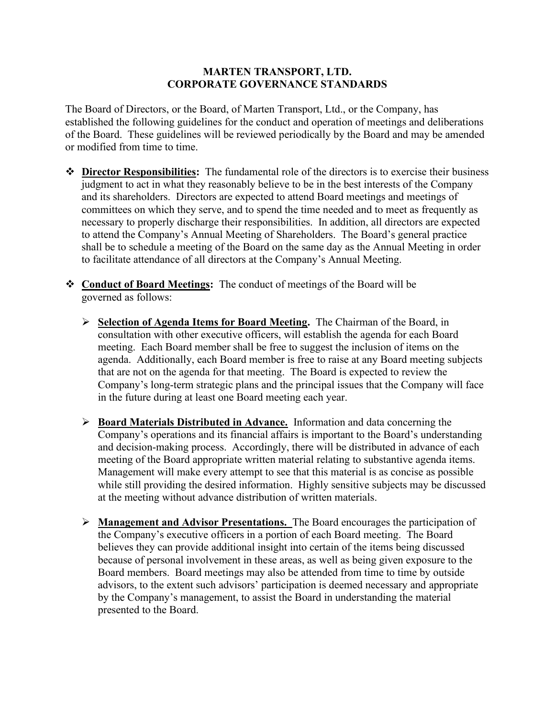## **MARTEN TRANSPORT, LTD. CORPORATE GOVERNANCE STANDARDS**

The Board of Directors, or the Board, of Marten Transport, Ltd., or the Company, has established the following guidelines for the conduct and operation of meetings and deliberations of the Board. These guidelines will be reviewed periodically by the Board and may be amended or modified from time to time.

- ❖ **Director Responsibilities:** The fundamental role of the directors is to exercise their business judgment to act in what they reasonably believe to be in the best interests of the Company and its shareholders. Directors are expected to attend Board meetings and meetings of committees on which they serve, and to spend the time needed and to meet as frequently as necessary to properly discharge their responsibilities. In addition, all directors are expected to attend the Company's Annual Meeting of Shareholders. The Board's general practice shall be to schedule a meeting of the Board on the same day as the Annual Meeting in order to facilitate attendance of all directors at the Company's Annual Meeting.
- ❖ **Conduct of Board Meetings:** The conduct of meetings of the Board will be governed as follows:
	- ➢ **Selection of Agenda Items for Board Meeting.** The Chairman of the Board, in consultation with other executive officers, will establish the agenda for each Board meeting. Each Board member shall be free to suggest the inclusion of items on the agenda. Additionally, each Board member is free to raise at any Board meeting subjects that are not on the agenda for that meeting. The Board is expected to review the Company's long-term strategic plans and the principal issues that the Company will face in the future during at least one Board meeting each year.
	- ➢ **Board Materials Distributed in Advance.** Information and data concerning the Company's operations and its financial affairs is important to the Board's understanding and decision-making process. Accordingly, there will be distributed in advance of each meeting of the Board appropriate written material relating to substantive agenda items. Management will make every attempt to see that this material is as concise as possible while still providing the desired information. Highly sensitive subjects may be discussed at the meeting without advance distribution of written materials.
	- ➢ **Management and Advisor Presentations.** The Board encourages the participation of the Company's executive officers in a portion of each Board meeting. The Board believes they can provide additional insight into certain of the items being discussed because of personal involvement in these areas, as well as being given exposure to the Board members. Board meetings may also be attended from time to time by outside advisors, to the extent such advisors' participation is deemed necessary and appropriate by the Company's management, to assist the Board in understanding the material presented to the Board.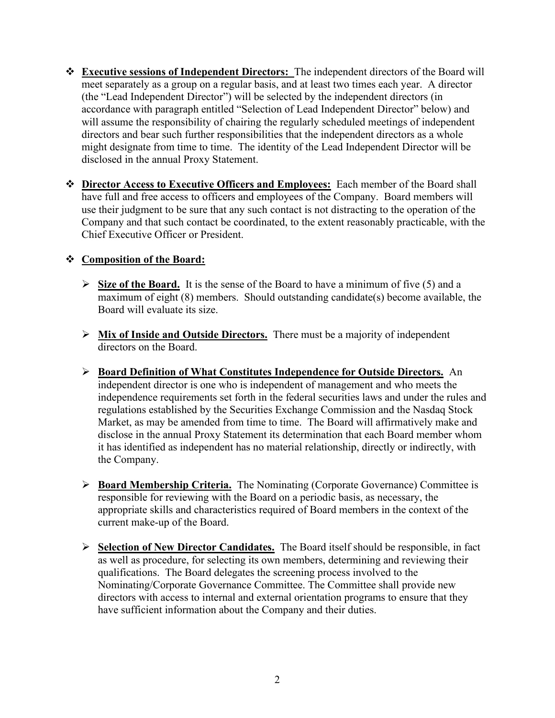- ❖ **Executive sessions of Independent Directors:** The independent directors of the Board will meet separately as a group on a regular basis, and at least two times each year. A director (the "Lead Independent Director") will be selected by the independent directors (in accordance with paragraph entitled "Selection of Lead Independent Director" below) and will assume the responsibility of chairing the regularly scheduled meetings of independent directors and bear such further responsibilities that the independent directors as a whole might designate from time to time. The identity of the Lead Independent Director will be disclosed in the annual Proxy Statement.
- ❖ **Director Access to Executive Officers and Employees:** Each member of the Board shall have full and free access to officers and employees of the Company. Board members will use their judgment to be sure that any such contact is not distracting to the operation of the Company and that such contact be coordinated, to the extent reasonably practicable, with the Chief Executive Officer or President.

## ❖ **Composition of the Board:**

- ➢ **Size of the Board.** It is the sense of the Board to have a minimum of five (5) and a maximum of eight (8) members. Should outstanding candidate(s) become available, the Board will evaluate its size.
- ➢ **Mix of Inside and Outside Directors.** There must be a majority of independent directors on the Board.
- ➢ **Board Definition of What Constitutes Independence for Outside Directors.** An independent director is one who is independent of management and who meets the independence requirements set forth in the federal securities laws and under the rules and regulations established by the Securities Exchange Commission and the Nasdaq Stock Market, as may be amended from time to time. The Board will affirmatively make and disclose in the annual Proxy Statement its determination that each Board member whom it has identified as independent has no material relationship, directly or indirectly, with the Company.
- ➢ **Board Membership Criteria.** The Nominating (Corporate Governance) Committee is responsible for reviewing with the Board on a periodic basis, as necessary, the appropriate skills and characteristics required of Board members in the context of the current make-up of the Board.
- ➢ **Selection of New Director Candidates.** The Board itself should be responsible, in fact as well as procedure, for selecting its own members, determining and reviewing their qualifications. The Board delegates the screening process involved to the Nominating/Corporate Governance Committee. The Committee shall provide new directors with access to internal and external orientation programs to ensure that they have sufficient information about the Company and their duties.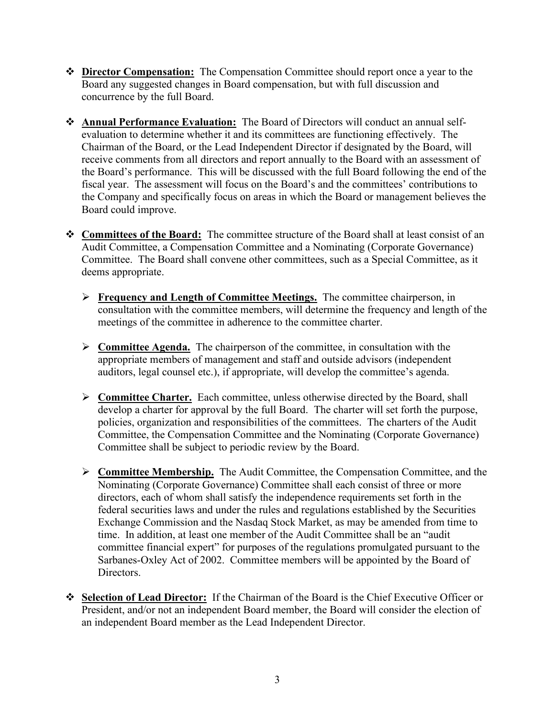- ❖ **Director Compensation:** The Compensation Committee should report once a year to the Board any suggested changes in Board compensation, but with full discussion and concurrence by the full Board.
- ❖ **Annual Performance Evaluation:** The Board of Directors will conduct an annual selfevaluation to determine whether it and its committees are functioning effectively. The Chairman of the Board, or the Lead Independent Director if designated by the Board, will receive comments from all directors and report annually to the Board with an assessment of the Board's performance. This will be discussed with the full Board following the end of the fiscal year. The assessment will focus on the Board's and the committees' contributions to the Company and specifically focus on areas in which the Board or management believes the Board could improve.
- ❖ **Committees of the Board:** The committee structure of the Board shall at least consist of an Audit Committee, a Compensation Committee and a Nominating (Corporate Governance) Committee. The Board shall convene other committees, such as a Special Committee, as it deems appropriate.
	- ➢ **Frequency and Length of Committee Meetings.** The committee chairperson, in consultation with the committee members, will determine the frequency and length of the meetings of the committee in adherence to the committee charter.
	- ➢ **Committee Agenda.** The chairperson of the committee, in consultation with the appropriate members of management and staff and outside advisors (independent auditors, legal counsel etc.), if appropriate, will develop the committee's agenda.
	- ➢ **Committee Charter.** Each committee, unless otherwise directed by the Board, shall develop a charter for approval by the full Board. The charter will set forth the purpose, policies, organization and responsibilities of the committees. The charters of the Audit Committee, the Compensation Committee and the Nominating (Corporate Governance) Committee shall be subject to periodic review by the Board.
	- ➢ **Committee Membership.** The Audit Committee, the Compensation Committee, and the Nominating (Corporate Governance) Committee shall each consist of three or more directors, each of whom shall satisfy the independence requirements set forth in the federal securities laws and under the rules and regulations established by the Securities Exchange Commission and the Nasdaq Stock Market, as may be amended from time to time. In addition, at least one member of the Audit Committee shall be an "audit committee financial expert" for purposes of the regulations promulgated pursuant to the Sarbanes-Oxley Act of 2002. Committee members will be appointed by the Board of Directors.
- ❖ **Selection of Lead Director:** If the Chairman of the Board is the Chief Executive Officer or President, and/or not an independent Board member, the Board will consider the election of an independent Board member as the Lead Independent Director.